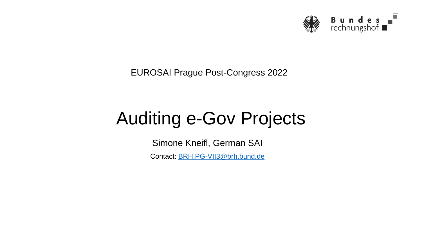

EUROSAI Prague Post-Congress 2022

# Auditing e-Gov Projects

Simone Kneifl, German SAI

Contact: [BRH.PG-VII3@brh.bund.de](mailto:BRH.PG-VII3@brh.bund.de)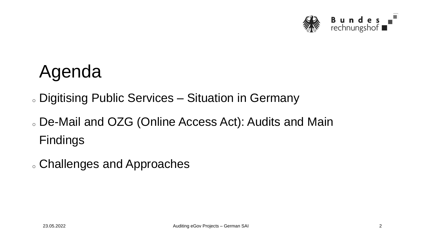

## Agenda

o Digitising Public Services – Situation in Germany

- o De-Mail and OZG (Online Access Act): Audits and Main Findings
- o Challenges and Approaches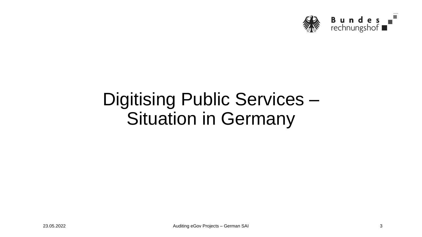

## Digitising Public Services – Situation in Germany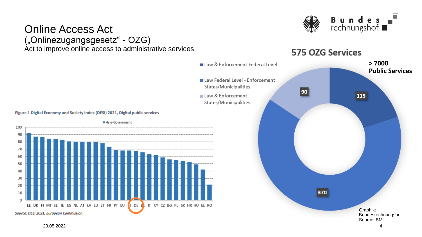

#### Online Access Act ("Onlinezugangsgesetz" - OZG) Act to improve online access to administrative services

#### 575 OZG Services



Figure 1 Digital Economy and Society Index (DESI) 2021, Digital public services



23.05.2022 4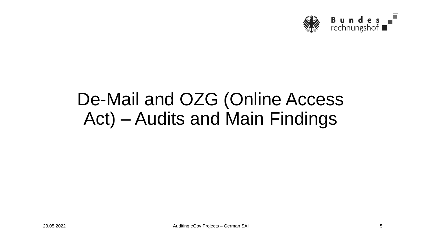

## De-Mail and OZG (Online Access Act) – Audits and Main Findings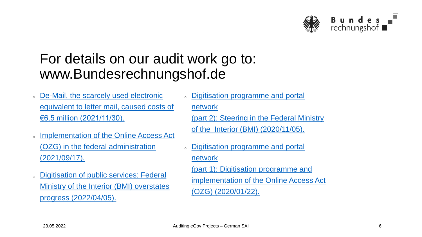

#### For details on our audit work go to: www.Bundesrechnungshof.de

- o De-Mail, the scarcely used electronic [equivalent to letter mail, caused costs of](https://www.bundesrechnungshof.de/en/audit-reports/products/annual-reports/2021-annual-report/audit-findings-on-federal-government-departments/federal-ministry-of-the-interior-building-and-community/2021-05)  €6.5 million (2021/11/30).
- o [Implementation of the Online Access Act](https://www.bundesrechnungshof.de/de/veroeffentlichungen/produkte/pruefungsmitteilungen/2021/umsetzung-des-ozg-in-den-ressorts) (OZG) in the federal administration (2021/09/17).
- o Digitisation of public services: Federal [Ministry of the Interior \(BMI\) overstates](https://www.bundesrechnungshof.de/de/veroeffentlichungen/produkte/bemerkungen-jahresberichte/jahresberichte/2021-ergaenzungsband/einzelplanbezogene-pruefungsergebnisse/bundesministerium-des-innern-und-fuer-heimat/2021-43) progress (2022/04/05).
- o Digitisation programme and portal network [\(part 2\): Steering in the Federal Ministry](https://www.bundesrechnungshof.de/de/veroeffentlichungen/produkte/pruefungsmitteilungen/2020/digitalisierungsprogramm-portalverbund-teil-2-steuerung-im-bundesministerium-des-innern-fuer-bau-und-heimat)  of the Interior (BMI) (2020/11/05).
- <sup>o</sup> Digitisation programme and portal network (part 1): Digitisation programme and

[implementation of the Online Access Act](https://www.bundesrechnungshof.de/de/veroeffentlichungen/produkte/pruefungsmitteilungen/2020/2020-pm-digitalisierungsprogramm-portalverbund-teil-1-digitalisierungsprogramm-und-umsetzung-des-onlinezugangsgesetzes)  (OZG) (2020/01/22).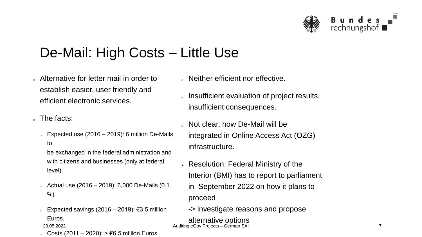

### De-Mail: High Costs – Little Use

- <sup>o</sup> Alternative for letter mail in order to establish easier, user friendly and efficient electronic services.
- $\alpha$  The facts:
	- Expected use  $(2016 2019)$ : 6 million De-Mails to

be exchanged in the federal administration and with citizens and businesses (only at federal level).

- $\epsilon$  Actual use (2016 2019): 6,000 De-Mails (0.1 %).
- <sup>o</sup> Expected savings (2016 2019): €3.5 million Euros.

 $\epsilon$  Costs (2011 – 2020): > €6.5 million Euros.

- o Neither efficient nor effective.
- o Insufficient evaluation of project results, insufficient consequences.
- o Not clear, how De-Mail will be integrated in Online Access Act (OZG) infrastructure.
- ➢ Resolution: Federal Ministry of the Interior (BMI) has to report to parliament
	- in September 2022 on how it plans to proceed
	- -> investigate reasons and propose

alternative options 23.05.2022 Auditing eGov Projects – German SAI 7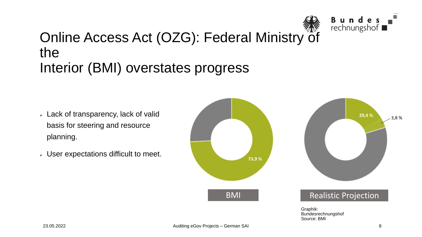

#### Online Access Act (OZG): Federal Ministry of the Interior (BMI) overstates progress

- $\triangleright$  Lack of transparency, lack of valid basis for steering and resource planning.
- $\triangleright$  User expectations difficult to meet.

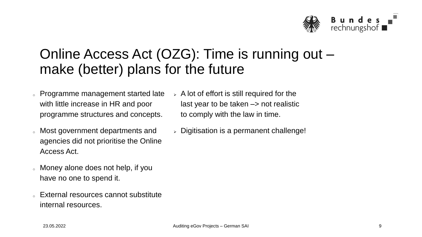

### Online Access Act (OZG): Time is running out – make (better) plans for the future

- o Programme management started late with little increase in HR and poor programme structures and concepts.
- o Most government departments and agencies did not prioritise the Online Access Act.
- o Money alone does not help, if you have no one to spend it.
- <sup>o</sup> External resources cannot substitute internal resources.
- $\geq$  A lot of effort is still required for the last year to be taken  $\rightarrow$  not realistic to comply with the law in time.
- $\geq$  Digitisation is a permanent challenge!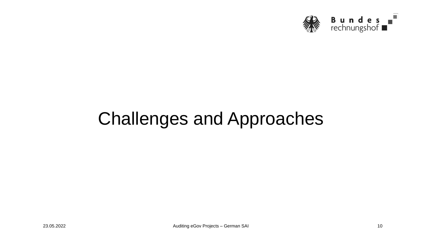

## Challenges and Approaches